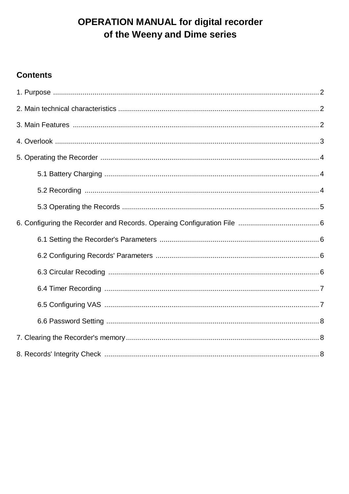# **OPERATION MANUAL for digital recorder** of the Weeny and Dime series

#### **Contents**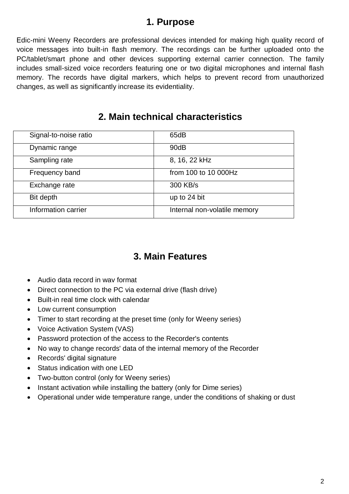#### **1. Purpose**

Еdic-mini Weeny Recorders are professional devices intended for making high quality record of voice messages into built-in flash memory. The recordings can be further uploaded onto the PC/tablet/smart phone and other devices supporting external carrier connection. The family includes small-sized voice recorders featuring one or two digital microphones and internal flash memory. The records have digital markers, which helps to prevent record from unauthorized changes, as well as significantly increase its evidentiality.

#### **2. Main technical characteristics**

| Signal-to-noise ratio | 65dB                         |
|-----------------------|------------------------------|
| Dynamic range         | 90dB                         |
| Sampling rate         | 8, 16, 22 kHz                |
| Frequency band        | from 100 to 10 000Hz         |
| Exchange rate         | 300 KB/s                     |
| Bit depth             | up to 24 bit                 |
| Information carrier   | Internal non-volatile memory |

#### **3. Main Features**

- Audio data record in wav format
- Direct connection to the PC via external drive (flash drive)
- Built-in real time clock with calendar
- Low current consumption
- Timer to start recording at the preset time (only for Weeny series)
- Voice Activation System (VAS)
- Password protection of the access to the Recorder's contents
- No way to change records' data of the internal memory of the Recorder
- Records' digital signature
- Status indication with one LED
- Two-button control (only for Weeny series)
- Instant activation while installing the battery (only for Dime series)
- Operational under wide temperature range, under the conditions of shaking or dust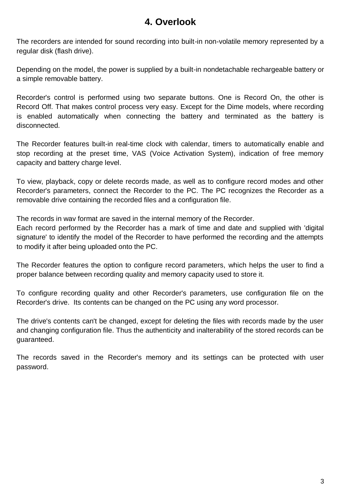#### **4. Overlook**

The recorders are intended for sound recording into built-in non-volatile memory represented by a regular disk (flash drive).

Depending on the model, the power is supplied by a built-in nondetachable rechargeable battery or a simple removable battery.

Recorder's control is performed using two separate buttons. One is Record On, the other is Record Off. That makes control process very easy. Except for the Dime models, where recording is enabled automatically when connecting the battery and terminated as the battery is disconnected.

The Recorder features built-in real-time clock with calendar, timers to automatically enable and stop recording at the preset time, VAS (Voice Activation System), indication of free memory capacity and battery charge level.

To view, playback, copy or delete records made, as well as to configure record modes and other Recorder's parameters, connect the Recorder to the PC. The PC recognizes the Recorder as a removable drive containing the recorded files and a configuration file.

The records in wav format are saved in the internal memory of the Recorder.

Each record performed by the Recorder has a mark of time and date and supplied with 'digital signature' to identify the model of the Recorder to have performed the recording and the attempts to modify it after being uploaded onto the PC.

The Recorder features the option to configure record parameters, which helps the user to find a proper balance between recording quality and memory capacity used to store it.

To configure recording quality and other Recorder's parameters, use configuration file on the Recorder's drive. Its contents can be changed on the PC using any word processor.

The drive's contents can't be changed, except for deleting the files with records made by the user and changing configuration file. Thus the authenticity and inalterability of the stored records can be guaranteed.

The records saved in the Recorder's memory and its settings can be protected with user password.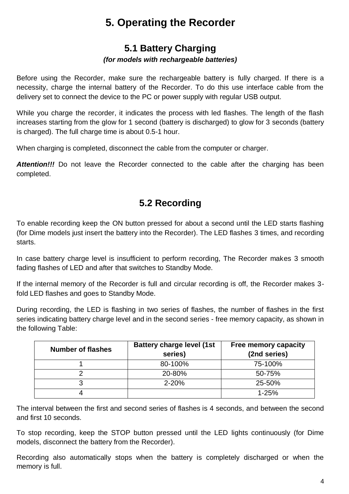# **5. Operating the Recorder**

# **5.1 Battery Charging**

#### *(for models with rechargeable batteries)*

Before using the Recorder, make sure the rechargeable battery is fully charged. If there is a necessity, charge the internal battery of the Recorder. To do this use interface cable from the delivery set to connect the device to the PC or power supply with regular USB output.

While you charge the recorder, it indicates the process with led flashes. The length of the flash increases starting from the glow for 1 second (battery is discharged) to glow for 3 seconds (battery is charged). The full charge time is about 0.5-1 hour.

When charging is completed, disconnect the cable from the computer or charger.

**Attention!!!** Do not leave the Recorder connected to the cable after the charging has been completed.

## **5.2 Recording**

To enable recording keep the ON button pressed for about a second until the LED starts flashing (for Dime models just insert the battery into the Recorder). The LED flashes 3 times, and recording starts.

In case battery charge level is insufficient to perform recording, The Recorder makes 3 smooth fading flashes of LED and after that switches to Standby Mode.

If the internal memory of the Recorder is full and circular recording is off, the Recorder makes 3 fold LED flashes and goes to Standby Mode.

During recording, the LED is flashing in two series of flashes, the number of flashes in the first series indicating battery charge level and in the second series - free memory capacity, as shown in the following Table:

| <b>Number of flashes</b> | <b>Battery charge level (1st</b><br>series) | <b>Free memory capacity</b><br>(2nd series) |
|--------------------------|---------------------------------------------|---------------------------------------------|
|                          | 80-100%                                     | 75-100%                                     |
|                          | 20-80%                                      | 50-75%                                      |
|                          | $2 - 20%$                                   | 25-50%                                      |
|                          |                                             | $1 - 25%$                                   |

The interval between the first and second series of flashes is 4 seconds, and between the second and first 10 seconds.

To stop recording, keep the STOP button pressed until the LED lights continuously (for Dime models, disconnect the battery from the Recorder).

Recording also automatically stops when the battery is completely discharged or when the memory is full.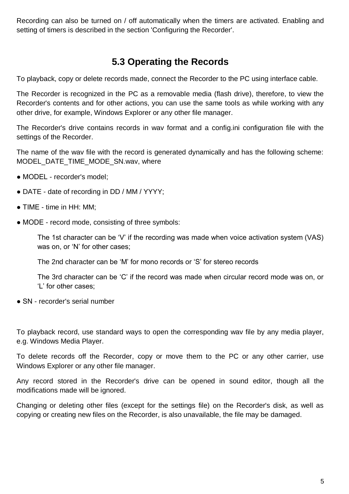Recording can also be turned on / off automatically when the timers are activated. Enabling and setting of timers is described in the section 'Configuring the Recorder'.

### **5.3 Operating the Records**

To playback, copy or delete records made, connect the Recorder to the PC using interface cable.

The Recorder is recognized in the PC as a removable media (flash drive), therefore, to view the Recorder's contents and for other actions, you can use the same tools as while working with any other drive, for example, Windows Explorer or any other file manager.

The Recorder's drive contains records in wav format and a config.ini configuration file with the settings of the Recorder.

The name of the wav file with the record is generated dynamically and has the following scheme: MODEL\_DATE\_TIME\_MODE\_SN.wav, where

- MODEL recorder's model;
- DATE date of recording in DD / MM / YYYY;
- TIME time in HH: MM;
- MODE record mode, consisting of three symbols:

The 1st character can be 'V' if the recording was made when voice activation system (VAS) was on, or 'N' for other cases;

The 2nd character can be 'M' for mono records or 'S' for stereo records

The 3rd character can be 'C' if the record was made when circular record mode was on, or 'L' for other cases;

• SN - recorder's serial number

To playback record, use standard ways to open the corresponding wav file by any media player, e.g. Windows Media Player.

To delete records off the Recorder, copy or move them to the PC or any other carrier, use Windows Explorer or any other file manager.

Any record stored in the Recorder's drive can be opened in sound editor, though all the modifications made will be ignored.

Changing or deleting other files (except for the settings file) on the Recorder's disk, as well as copying or creating new files on the Recorder, is also unavailable, the file may be damaged.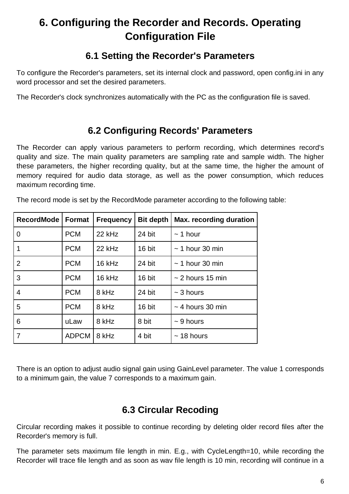# **6. Configuring the Recorder and Records. Operating Configuration File**

### **6.1 Setting the Recorder's Parameters**

To configure the Recorder's parameters, set its internal clock and password, open config.ini in any word processor and set the desired parameters.

The Recorder's clock synchronizes automatically with the PC as the configuration file is saved.

## **6.2 Configuring Records' Parameters**

The Recorder can apply various parameters to perform recording, which determines record's quality and size. The main quality parameters are sampling rate and sample width. The higher these parameters, the higher recording quality, but at the same time, the higher the amount of memory required for audio data storage, as well as the power consumption, which reduces maximum recording time.

| <b>RecordMode</b> | <b>Format</b> | <b>Frequency</b> | <b>Bit depth</b> | <b>Max. recording duration</b> |
|-------------------|---------------|------------------|------------------|--------------------------------|
| 0                 | <b>PCM</b>    | 22 kHz           | 24 bit           | $\sim$ 1 hour                  |
| 1                 | <b>PCM</b>    | 22 kHz           | 16 bit           | $\sim$ 1 hour 30 min           |
| $\overline{2}$    | <b>PCM</b>    | 16 kHz           | 24 bit           | $\sim$ 1 hour 30 min           |
| 3                 | <b>PCM</b>    | 16 kHz           | 16 bit           | $\sim$ 2 hours 15 min          |
| 4                 | <b>PCM</b>    | 8 kHz            | 24 bit           | $\sim$ 3 hours                 |
| 5                 | <b>PCM</b>    | 8 kHz            | 16 bit           | $\sim$ 4 hours 30 min          |
| 6                 | uLaw          | 8 kHz            | 8 bit            | $\sim$ 9 hours                 |
| 7                 | <b>ADPCM</b>  | 8 kHz            | 4 bit            | $\sim$ 18 hours                |

The record mode is set by the RecordMode parameter according to the following table:

There is an option to adjust audio signal gain using GainLevel parameter. The value 1 corresponds to a minimum gain, the value 7 corresponds to a maximum gain.

## **6.3 Circular Recoding**

Circular recording makes it possible to continue recording by deleting older record files after the Recorder's memory is full.

The parameter sets maximum file length in min. E.g., with CycleLength=10, while recording the Recorder will trace file length and as soon as wav file length is 10 min, recording will continue in a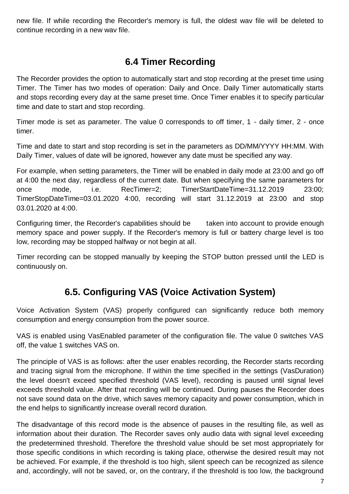new file. If while recording the Recorder's memory is full, the oldest wav file will be deleted to continue recording in a new wav file.

# **6.4 Timer Recording**

The Recorder provides the option to automatically start and stop recording at the preset time using Timer. The Timer has two modes of operation: Daily and Once. Daily Timer automatically starts and stops recording every day at the same preset time. Once Timer enables it to specify particular time and date to start and stop recording.

Timer mode is set as parameter. The value 0 corresponds to off timer, 1 - daily timer, 2 - once timer.

Time and date to start and stop recording is set in the parameters as DD/MM/YYYY HH:MM. With Daily Timer, values of date will be ignored, however any date must be specified any way.

For example, when setting parameters, the Timer will be enabled in daily mode at 23:00 and go off at 4:00 the next day, regardless of the current date. But when specifying the same parameters for once mode, i.e. RecTimer=2; TimerStartDateTime=31.12.2019 23:00; TimerStopDateTime=03.01.2020 4:00, recording will start 31.12.2019 at 23:00 and stop 03.01.2020 at 4:00.

Configuring timer, the Recorder's capabilities should be taken into account to provide enough memory space and power supply. If the Recorder's memory is full or battery charge level is too low, recording may be stopped halfway or not begin at all.

Timer recording can be stopped manually by keeping the STOP button pressed until the LED is continuously on.

# **6.5. Configuring VAS (Voice Activation System)**

Voice Activation System (VAS) properly configured can significantly reduce both memory consumption and energy consumption from the power source.

VAS is enabled using VasEnabled parameter of the configuration file. The value 0 switches VAS off, the value 1 switches VAS on.

The principle of VAS is as follows: after the user enables recording, the Recorder starts recording and tracing signal from the microphone. If within the time specified in the settings (VasDuration) the level doesn't exceed specified threshold (VAS level), recording is paused until signal level exceeds threshold value. After that recording will be continued. During pauses the Recorder does not save sound data on the drive, which saves memory capacity and power consumption, which in the end helps to significantly increase overall record duration.

The disadvantage of this record mode is the absence of pauses in the resulting file, as well as information about their duration. The Recorder saves only audio data with signal level exceeding the predetermined threshold. Therefore the threshold value should be set most appropriately for those specific conditions in which recording is taking place, otherwise the desired result may not be achieved. For example, if the threshold is too high, silent speech can be recognized as silence and, accordingly, will not be saved, or, on the contrary, if the threshold is too low, the background